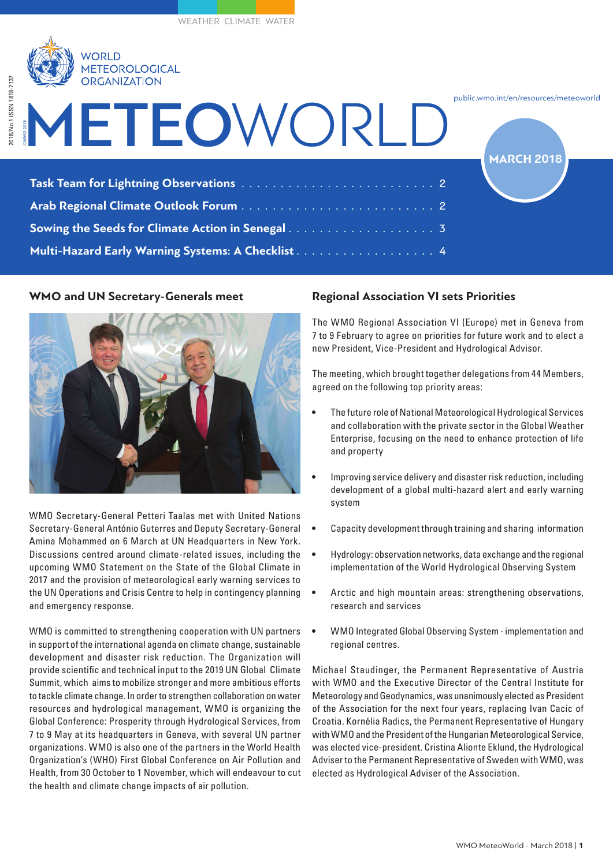

| $\sum$ UNUANIZATIVIN                              |                                                             |
|---------------------------------------------------|-------------------------------------------------------------|
| METEOWORLD                                        | public.wmo.int/en/resources/meteoworld<br><b>MARCH 2018</b> |
|                                                   |                                                             |
|                                                   |                                                             |
|                                                   |                                                             |
| Multi-Hazard Early Warning Systems: A Checklist 4 |                                                             |

## **WMO and UN Secretary-Generals meet**



WMO Secretary-General Petteri Taalas met with United Nations Secretary-General António Guterres and Deputy Secretary-General Amina Mohammed on 6 March at UN Headquarters in New York. Discussions centred around climate-related issues, including the upcoming WMO Statement on the State of the Global Climate in 2017 and the provision of meteorological early warning services to the UN Operations and Crisis Centre to help in contingency planning and emergency response.

WMO is committed to strengthening cooperation with UN partners in support of the international agenda on climate change, sustainable development and disaster risk reduction. The Organization will provide scientific and technical input to the 2019 UN Global Climate Summit, which aims to mobilize stronger and more ambitious efforts to tackle climate change. In order to strengthen collaboration on water resources and hydrological management, WMO is organizing the Global Conference: Prosperity through Hydrological Services, from 7 to 9 May at its headquarters in Geneva, with several UN partner organizations. WMO is also one of the partners in the World Health Organization's (WHO) First Global Conference on Air Pollution and Health, from 30 October to 1 November, which will endeavour to cut the health and climate change impacts of air pollution.

# **Regional Association VI sets Priorities**

The WMO Regional Association VI (Europe) met in Geneva from 7 to 9 February to agree on priorities for future work and to elect a new President, Vice-President and Hydrological Advisor.

The meeting, which brought together delegations from 44 Members, agreed on the following top priority areas:

- The future role of National Meteorological Hydrological Services and collaboration with the private sector in the Global Weather Enterprise, focusing on the need to enhance protection of life and property
- Improving service delivery and disaster risk reduction, including development of a global multi-hazard alert and early warning system
- Capacity development through training and sharing information
- Hydrology: observation networks, data exchange and the regional implementation of the World Hydrological Observing System
- Arctic and high mountain areas: strengthening observations, research and services
- WMO Integrated Global Observing System implementation and regional centres.

Michael Staudinger, the Permanent Representative of Austria with WMO and the Executive Director of the Central Institute for Meteorology and Geodynamics, was unanimously elected as President of the Association for the next four years, replacing Ivan Cacic of Croatia. Kornélia Radics, the Permanent Representative of Hungary with WMO and the President of the Hungarian Meteorological Service, was elected vice-president. Cristina Alionte Eklund, the Hydrological Adviser to the Permanent Representative of Sweden with WMO, was elected as Hydrological Adviser of the Association.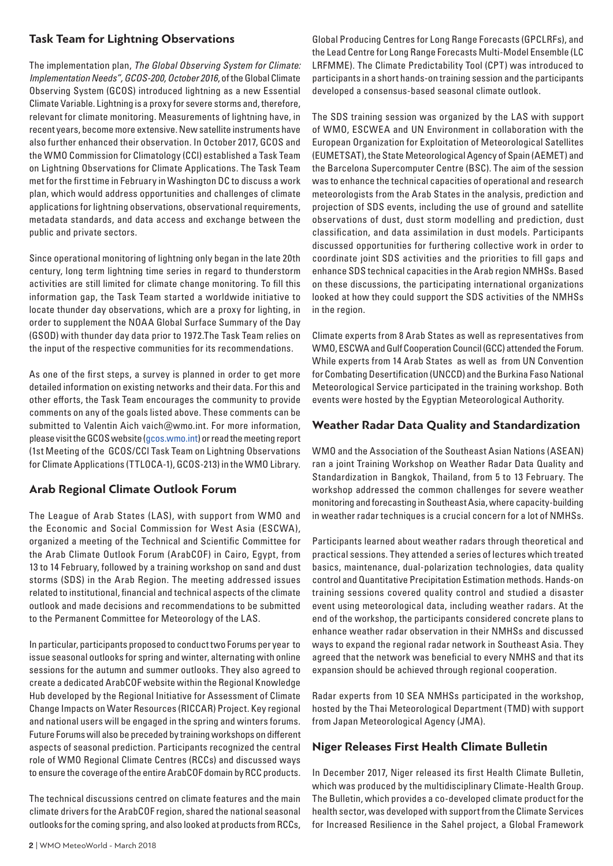## **Task Team for Lightning Observations**

The implementation plan, *The Global Observing System for Climate: Implementation Needs", GCOS-200, October 2016*, of the Global Climate Observing System (GCOS) introduced lightning as a new Essential Climate Variable. Lightning is a proxy for severe storms and, therefore, relevant for climate monitoring. Measurements of lightning have, in recent years, become more extensive. New satellite instruments have also further enhanced their observation. In October 2017, GCOS and the WMO Commission for Climatology (CCl) established a Task Team on Lightning Observations for Climate Applications. The Task Team met for the first time in February in Washington DC to discuss a work plan, which would address opportunities and challenges of climate applications for lightning observations, observational requirements, metadata standards, and data access and exchange between the public and private sectors.

Since operational monitoring of lightning only began in the late 20th century, long term lightning time series in regard to thunderstorm activities are still limited for climate change monitoring. To fill this information gap, the Task Team started a worldwide initiative to locate thunder day observations, which are a proxy for lighting, in order to supplement the NOAA Global Surface Summary of the Day (GSOD) with thunder day data prior to 1972.The Task Team relies on the input of the respective communities for its recommendations.

As one of the first steps, a survey is planned in order to get more detailed information on existing networks and their data. For this and other efforts, the Task Team encourages the community to provide comments on any of the goals listed above. These comments can be submitted to Valentin Aich vaich@wmo.int. For more information, please visit the GCOS website (gcos.wmo.int) or read the meeting report (1st Meeting of the GCOS/CCl Task Team on Lightning Observations for Climate Applications (TTLOCA-1), GCOS-213) in the WMO Library.

## **Arab Regional Climate Outlook Forum**

The League of Arab States (LAS), with support from WMO and the Economic and Social Commission for West Asia (ESCWA), organized a meeting of the Technical and Scientific Committee for the Arab Climate Outlook Forum (ArabCOF) in Cairo, Egypt, from 13 to 14 February, followed by a training workshop on sand and dust storms (SDS) in the Arab Region. The meeting addressed issues related to institutional, financial and technical aspects of the climate outlook and made decisions and recommendations to be submitted to the Permanent Committee for Meteorology of the LAS.

In particular, participants proposed to conduct two Forums per year to issue seasonal outlooks for spring and winter, alternating with online sessions for the autumn and summer outlooks. They also agreed to create a dedicated ArabCOF website within the Regional Knowledge Hub developed by the Regional Initiative for Assessment of Climate Change Impacts on Water Resources (RICCAR) Project. Key regional and national users will be engaged in the spring and winters forums. Future Forums will also be preceded by training workshops on different aspects of seasonal prediction. Participants recognized the central role of WMO Regional Climate Centres (RCCs) and discussed ways to ensure the coverage of the entire ArabCOF domain by RCC products.

The technical discussions centred on climate features and the main climate drivers for the ArabCOF region, shared the national seasonal outlooks for the coming spring, and also looked at products from RCCs,

Global Producing Centres for Long Range Forecasts (GPCLRFs), and the Lead Centre for Long Range Forecasts Multi-Model Ensemble (LC LRFMME). The Climate Predictability Tool (CPT) was introduced to participants in a short hands-on training session and the participants developed a consensus-based seasonal climate outlook.

The SDS training session was organized by the LAS with support of WMO, ESCWEA and UN Environment in collaboration with the European Organization for Exploitation of Meteorological Satellites (EUMETSAT), the State Meteorological Agency of Spain (AEMET) and the Barcelona Supercomputer Centre (BSC). The aim of the session was to enhance the technical capacities of operational and research meteorologists from the Arab States in the analysis, prediction and projection of SDS events, including the use of ground and satellite observations of dust, dust storm modelling and prediction, dust classification, and data assimilation in dust models. Participants discussed opportunities for furthering collective work in order to coordinate joint SDS activities and the priorities to fill gaps and enhance SDS technical capacities in the Arab region NMHSs. Based on these discussions, the participating international organizations looked at how they could support the SDS activities of the NMHSs in the region.

Climate experts from 8 Arab States as well as representatives from WMO, ESCWA and Gulf Cooperation Council (GCC) attended the Forum. While experts from 14 Arab States as well as from UN Convention for Combating Desertification (UNCCD) and the Burkina Faso National Meteorological Service participated in the training workshop. Both events were hosted by the Egyptian Meteorological Authority.

#### **Weather Radar Data Quality and Standardization**

WMO and the Association of the Southeast Asian Nations (ASEAN) ran a joint Training Workshop on Weather Radar Data Quality and Standardization in Bangkok, Thailand, from 5 to 13 February. The workshop addressed the common challenges for severe weather monitoring and forecasting in Southeast Asia, where capacity-building in weather radar techniques is a crucial concern for a lot of NMHSs.

Participants learned about weather radars through theoretical and practical sessions. They attended a series of lectures which treated basics, maintenance, dual-polarization technologies, data quality control and Quantitative Precipitation Estimation methods. Hands-on training sessions covered quality control and studied a disaster event using meteorological data, including weather radars. At the end of the workshop, the participants considered concrete plans to enhance weather radar observation in their NMHSs and discussed ways to expand the regional radar network in Southeast Asia. They agreed that the network was beneficial to every NMHS and that its expansion should be achieved through regional cooperation.

Radar experts from 10 SEA NMHSs participated in the workshop, hosted by the Thai Meteorological Department (TMD) with support from Japan Meteorological Agency (JMA).

#### **Niger Releases First Health Climate Bulletin**

In December 2017, Niger released its first Health Climate Bulletin, which was produced by the multidisciplinary Climate-Health Group. The Bulletin, which provides a co-developed climate product for the health sector, was developed with support from the Climate Services for Increased Resilience in the Sahel project, a Global Framework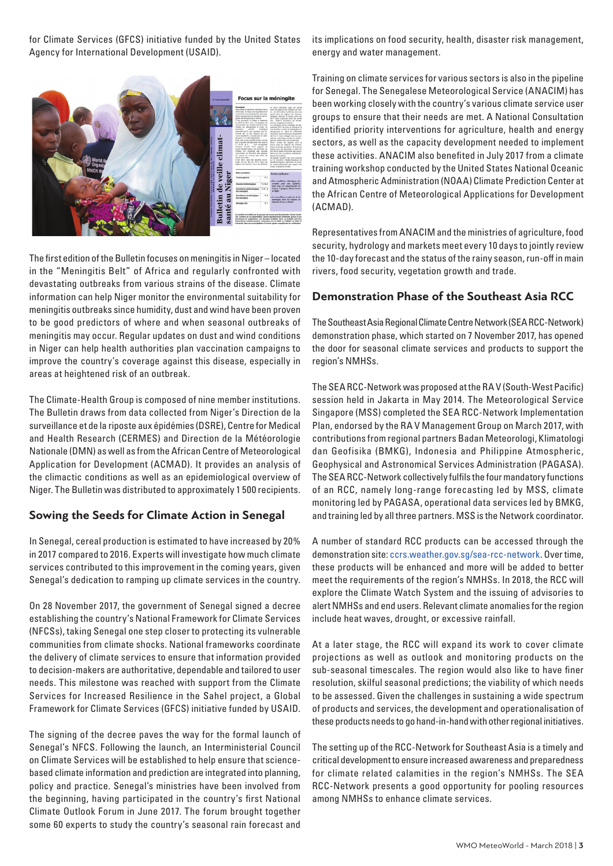for Climate Services (GFCS) initiative funded by the United States Agency for International Development (USAID).



The first edition of the Bulletin focuses on meningitis in Niger – located in the "Meningitis Belt" of Africa and regularly confronted with devastating outbreaks from various strains of the disease. Climate information can help Niger monitor the environmental suitability for meningitis outbreaks since humidity, dust and wind have been proven to be good predictors of where and when seasonal outbreaks of meningitis may occur. Regular updates on dust and wind conditions in Niger can help health authorities plan vaccination campaigns to improve the country's coverage against this disease, especially in areas at heightened risk of an outbreak.

The Climate-Health Group is composed of nine member institutions. The Bulletin draws from data collected from Niger's Direction de la surveillance et de la riposte aux épidémies (DSRE), Centre for Medical and Health Research (CERMES) and Direction de la Météorologie Nationale (DMN) as well as from the African Centre of Meteorological Application for Development (ACMAD). It provides an analysis of the climactic conditions as well as an epidemiological overview of Niger. The Bulletin was distributed to approximately 1 500 recipients.

## **Sowing the Seeds for Climate Action in Senegal**

In Senegal, cereal production is estimated to have increased by 20% in 2017 compared to 2016. Experts will investigate how much climate services contributed to this improvement in the coming years, given Senegal's dedication to ramping up climate services in the country.

On 28 November 2017, the government of Senegal signed a decree establishing the country's National Framework for Climate Services (NFCSs), taking Senegal one step closer to protecting its vulnerable communities from climate shocks. National frameworks coordinate the delivery of climate services to ensure that information provided to decision-makers are authoritative, dependable and tailored to user needs. This milestone was reached with support from the Climate Services for Increased Resilience in the Sahel project, a Global Framework for Climate Services (GFCS) initiative funded by USAID.

The signing of the decree paves the way for the formal launch of Senegal's NFCS. Following the launch, an Interministerial Council on Climate Services will be established to help ensure that sciencebased climate information and prediction are integrated into planning, policy and practice. Senegal's ministries have been involved from the beginning, having participated in the country's first National Climate Outlook Forum in June 2017. The forum brought together some 60 experts to study the country's seasonal rain forecast and

its implications on food security, health, disaster risk management, energy and water management.

Training on climate services for various sectors is also in the pipeline for Senegal. The Senegalese Meteorological Service (ANACIM) has been working closely with the country's various climate service user groups to ensure that their needs are met. A National Consultation identified priority interventions for agriculture, health and energy sectors, as well as the capacity development needed to implement these activities. ANACIM also benefited in July 2017 from a climate training workshop conducted by the United States National Oceanic and Atmospheric Administration (NOAA) Climate Prediction Center at the African Centre of Meteorological Applications for Development (ACMAD).

Representatives from ANACIM and the ministries of agriculture, food security, hydrology and markets meet every 10 days to jointly review the 10-day forecast and the status of the rainy season, run-off in main rivers, food security, vegetation growth and trade.

## **Demonstration Phase of the Southeast Asia RCC**

The Southeast Asia Regional Climate Centre Network (SEA RCC-Network) demonstration phase, which started on 7 November 2017, has opened the door for seasonal climate services and products to support the region's NMHSs.

The SEA RCC-Network was proposed at the RA V (South-West Pacific) session held in Jakarta in May 2014. The Meteorological Service Singapore (MSS) completed the SEA RCC-Network Implementation Plan, endorsed by the RA V Management Group on March 2017, with contributions from regional partners Badan Meteorologi, Klimatologi dan Geofisika (BMKG), Indonesia and Philippine Atmospheric, Geophysical and Astronomical Services Administration (PAGASA). The SEA RCC-Network collectively fulfils the four mandatory functions of an RCC, namely long-range forecasting led by MSS, climate monitoring led by PAGASA, operational data services led by BMKG, and training led by all three partners. MSS is the Network coordinator.

A number of standard RCC products can be accessed through the demonstration site: ccrs.weather.gov.sg/sea-rcc-network. Over time, these products will be enhanced and more will be added to better meet the requirements of the region's NMHSs. In 2018, the RCC will explore the Climate Watch System and the issuing of advisories to alert NMHSs and end users. Relevant climate anomalies for the region include heat waves, drought, or excessive rainfall.

At a later stage, the RCC will expand its work to cover climate projections as well as outlook and monitoring products on the sub-seasonal timescales. The region would also like to have finer resolution, skilful seasonal predictions; the viability of which needs to be assessed. Given the challenges in sustaining a wide spectrum of products and services, the development and operationalisation of these products needs to go hand-in-hand with other regional initiatives.

The setting up of the RCC-Network for Southeast Asia is a timely and critical development to ensure increased awareness and preparedness for climate related calamities in the region's NMHSs. The SEA RCC-Network presents a good opportunity for pooling resources among NMHSs to enhance climate services.